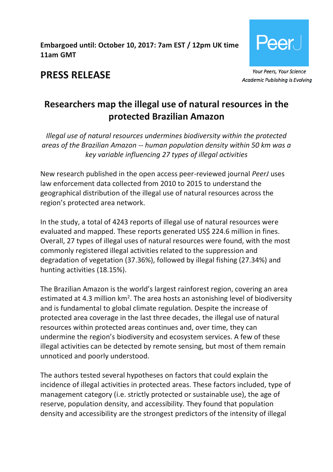# **Embargoed until: October 10, 2017: 7am EST / 12pm UK time / 11am GMT**



**PRESS RELEASE**

**Academic Publishing is Evolving** 

# **Researchers map the illegal use of natural resources in the protected Brazilian Amazon**

*Illegal use of natural resources undermines biodiversity within the protected areas of the Brazilian Amazon -- human population density within 50 km was a key variable influencing 27 types of illegal activities*

New research published in the open access peer-reviewed journal *PeerJ* uses law enforcement data collected from 2010 to 2015 to understand the geographical distribution of the illegal use of natural resources across the region's protected area network.

In the study, a total of 4243 reports of illegal use of natural resources were evaluated and mapped. These reports generated US\$ 224.6 million in fines. Overall, 27 types of illegal uses of natural resources were found, with the most commonly registered illegal activities related to the suppression and degradation of vegetation (37.36%), followed by illegal fishing (27.34%) and hunting activities (18.15%).

The Brazilian Amazon is the world's largest rainforest region, covering an area estimated at 4.3 million  $km^2$ . The area hosts an astonishing level of biodiversity and is fundamental to global climate regulation. Despite the increase of protected area coverage in the last three decades, the illegal use of natural resources within protected areas continues and, over time, they can undermine the region's biodiversity and ecosystem services. A few of these illegal activities can be detected by remote sensing, but most of them remain unnoticed and poorly understood.

The authors tested several hypotheses on factors that could explain the incidence of illegal activities in protected areas. These factors included, type of management category (i.e. strictly protected or sustainable use), the age of reserve, population density, and accessibility. They found that population density and accessibility are the strongest predictors of the intensity of illegal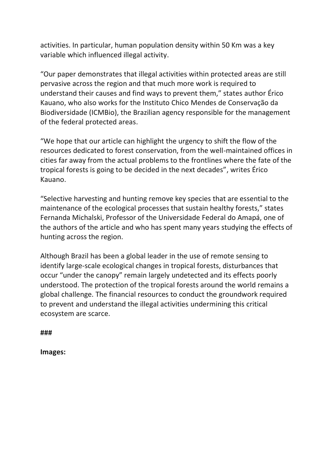activities. In particular, human population density within 50 Km was a key variable which influenced illegal activity.

"Our paper demonstrates that illegal activities within protected areas are still pervasive across the region and that much more work is required to understand their causes and find ways to prevent them," states author Érico Kauano, who also works for the Instituto Chico Mendes de Conservação da Biodiversidade (ICMBio), the Brazilian agency responsible for the management of the federal protected areas.

"We hope that our article can highlight the urgency to shift the flow of the resources dedicated to forest conservation, from the well-maintained offices in cities far away from the actual problems to the frontlines where the fate of the tropical forests is going to be decided in the next decades", writes Érico Kauano.

"Selective harvesting and hunting remove key species that are essential to the maintenance of the ecological processes that sustain healthy forests," states Fernanda Michalski, Professor of the Universidade Federal do Amapá, one of the authors of the article and who has spent many years studying the effects of hunting across the region.

Although Brazil has been a global leader in the use of remote sensing to identify large-scale ecological changes in tropical forests, disturbances that occur "under the canopy" remain largely undetected and its effects poorly understood. The protection of the tropical forests around the world remains a global challenge. The financial resources to conduct the groundwork required to prevent and understand the illegal activities undermining this critical ecosystem are scarce.

**###**

**Images:**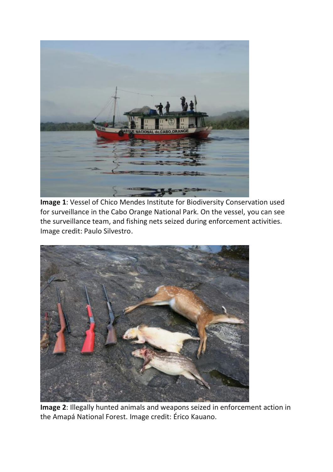

**Image 1**: Vessel of Chico Mendes Institute for Biodiversity Conservation used for surveillance in the Cabo Orange National Park. On the vessel, you can see the surveillance team, and fishing nets seized during enforcement activities. Image credit: Paulo Silvestro.



**Image 2**: Illegally hunted animals and weapons seized in enforcement action in the Amapá National Forest. Image credit: Érico Kauano.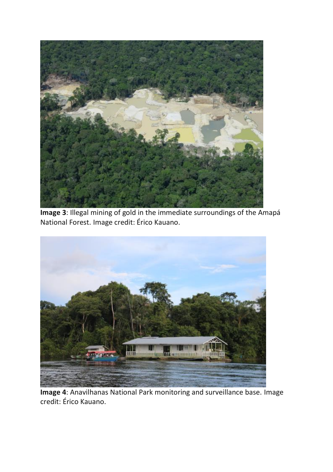

**Image 3**: Illegal mining of gold in the immediate surroundings of the Amapá National Forest. Image credit: Érico Kauano.



**Image 4**: Anavilhanas National Park monitoring and surveillance base. Image credit: Érico Kauano.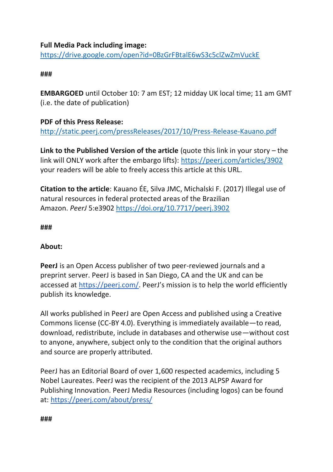# **Full Media Pack including image:**

<https://drive.google.com/open?id=0BzGrFBtalE6wS3c5clZwZmVuckE>

## **###**

**EMBARGOED** until October 10: 7 am EST; 12 midday UK local time; 11 am GMT (i.e. the date of publication)

# **PDF of this Press Release:**

<http://static.peerj.com/pressReleases/2017/10/Press-Release-Kauano.pdf>

**Link to the Published Version of the article** (quote this link in your story – the link will ONLY work after the embargo lifts): <https://peerj.com/articles/3902> your readers will be able to freely access this article at this URL.

**Citation to the article**: Kauano ÉE, Silva JMC, Michalski F. (2017) Illegal use of natural resources in federal protected areas of the Brazilian Amazon. *PeerJ* 5:e3902 <https://doi.org/10.7717/peerj.3902>

## **###**

## **About:**

**PeerJ** is an Open Access publisher of two peer-reviewed journals and a preprint server. PeerJ is based in San Diego, CA and the UK and can be accessed at <https://peerj.com/>. PeerJ's mission is to help the world efficiently publish its knowledge.

All works published in PeerJ are Open Access and published using a Creative Commons license (CC-BY 4.0). Everything is immediately available—to read, download, redistribute, include in databases and otherwise use—without cost to anyone, anywhere, subject only to the condition that the original authors and source are properly attributed.

PeerJ has an Editorial Board of over 1,600 respected academics, including 5 Nobel Laureates. PeerJ was the recipient of the 2013 ALPSP Award for Publishing Innovation. PeerJ Media Resources (including logos) can be found at: <https://peerj.com/about/press/>

#### **###**